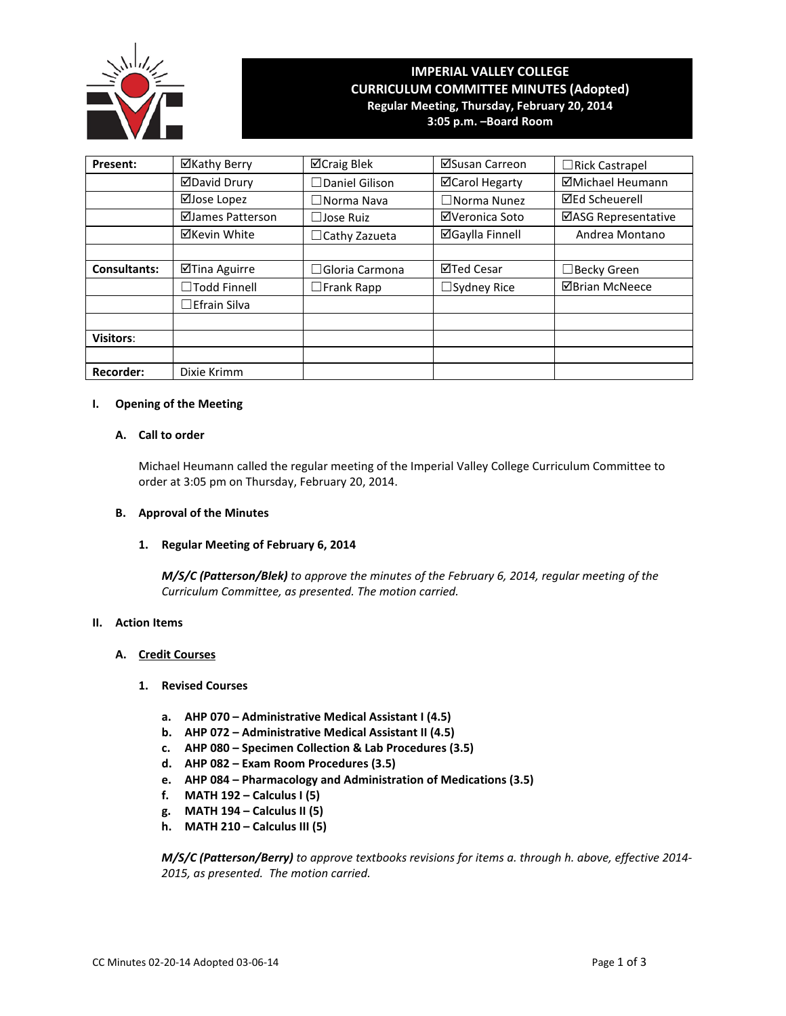

# **IMPERIAL VALLEY COLLEGE CURRICULUM COMMITTEE MINUTES (Adopted) Regular Meeting, Thursday, February 20, 2014 3:05 p.m. –Board Room**

| Present:            | ⊠Kathy Berry           | ⊠Craig Blek           | ⊠Susan Carreon         | $\Box$ Rick Castrapel |
|---------------------|------------------------|-----------------------|------------------------|-----------------------|
|                     | ⊠David Drury           | $\Box$ Daniel Gilison | ⊠Carol Hegarty         | ⊠Michael Heumann      |
|                     | ⊠Jose Lopez            | $\Box$ Norma Nava     | $\Box$ Norma Nunez     | <b>⊠Ed Scheuerell</b> |
|                     | ⊠James Patterson       | $\Box$ Jose Ruiz      | ⊠Veronica Soto         | ⊠ASG Representative   |
|                     | <b>⊠Kevin White</b>    | $\Box$ Cathy Zazueta  | <b>⊠Gaylla Finnell</b> | Andrea Montano        |
|                     |                        |                       |                        |                       |
| <b>Consultants:</b> | ⊠Tina Aguirre          | $\Box$ Gloria Carmona | ⊠Ted Cesar             | □Becky Green          |
|                     | $\Box$ Todd Finnell    | $\square$ Frank Rapp  | $\Box$ Sydney Rice     | <b>ØBrian McNeece</b> |
|                     | $\square$ Efrain Silva |                       |                        |                       |
|                     |                        |                       |                        |                       |
| <b>Visitors:</b>    |                        |                       |                        |                       |
|                     |                        |                       |                        |                       |
| <b>Recorder:</b>    | Dixie Krimm            |                       |                        |                       |

## **I. Opening of the Meeting**

# **A. Call to order**

Michael Heumann called the regular meeting of the Imperial Valley College Curriculum Committee to order at 3:05 pm on Thursday, February 20, 2014.

#### **B. Approval of the Minutes**

#### **1. Regular Meeting of February 6, 2014**

*M/S/C (Patterson/Blek) to approve the minutes of the February 6, 2014, regular meeting of the Curriculum Committee, as presented. The motion carried.*

#### **II. Action Items**

#### **A. Credit Courses**

## **1. Revised Courses**

- **a. AHP 070 – Administrative Medical Assistant I (4.5)**
- **b. AHP 072 – Administrative Medical Assistant II (4.5)**
- **c. AHP 080 – Specimen Collection & Lab Procedures (3.5)**
- **d. AHP 082 – Exam Room Procedures (3.5)**
- **e. AHP 084 – Pharmacology and Administration of Medications (3.5)**
- **f. MATH 192 – Calculus I (5)**
- **g. MATH 194 – Calculus II (5)**
- **h. MATH 210 – Calculus III (5)**

*M/S/C (Patterson/Berry) to approve textbooks revisions for items a. through h. above, effective 2014- 2015, as presented. The motion carried.*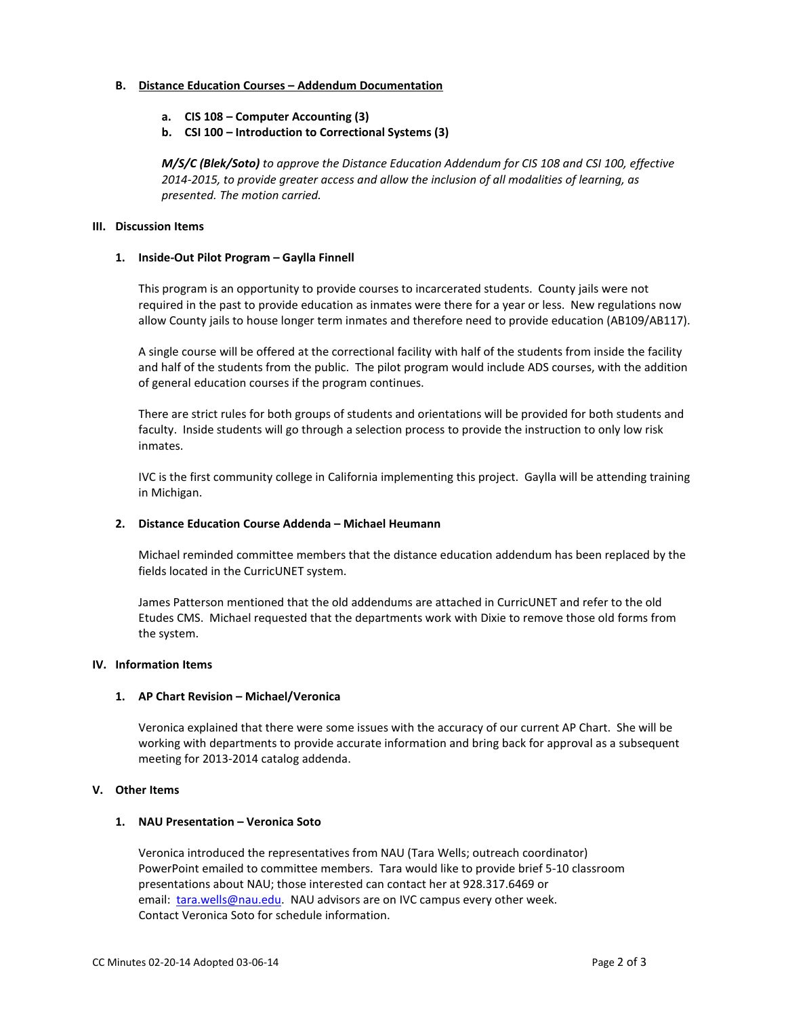#### **B. Distance Education Courses – Addendum Documentation**

- **a. CIS 108 – Computer Accounting (3)**
- **b. CSI 100 – Introduction to Correctional Systems (3)**

*M/S/C (Blek/Soto) to approve the Distance Education Addendum for CIS 108 and CSI 100, effective 2014-2015, to provide greater access and allow the inclusion of all modalities of learning, as presented. The motion carried.*

## **III. Discussion Items**

## **1. Inside-Out Pilot Program – Gaylla Finnell**

This program is an opportunity to provide courses to incarcerated students. County jails were not required in the past to provide education as inmates were there for a year or less. New regulations now allow County jails to house longer term inmates and therefore need to provide education (AB109/AB117).

A single course will be offered at the correctional facility with half of the students from inside the facility and half of the students from the public. The pilot program would include ADS courses, with the addition of general education courses if the program continues.

There are strict rules for both groups of students and orientations will be provided for both students and faculty. Inside students will go through a selection process to provide the instruction to only low risk inmates.

IVC is the first community college in California implementing this project. Gaylla will be attending training in Michigan.

#### **2. Distance Education Course Addenda – Michael Heumann**

Michael reminded committee members that the distance education addendum has been replaced by the fields located in the CurricUNET system.

James Patterson mentioned that the old addendums are attached in CurricUNET and refer to the old Etudes CMS. Michael requested that the departments work with Dixie to remove those old forms from the system.

# **IV. Information Items**

# **1. AP Chart Revision – Michael/Veronica**

Veronica explained that there were some issues with the accuracy of our current AP Chart. She will be working with departments to provide accurate information and bring back for approval as a subsequent meeting for 2013-2014 catalog addenda.

# **V. Other Items**

# **1. NAU Presentation – Veronica Soto**

Veronica introduced the representatives from NAU (Tara Wells; outreach coordinator) PowerPoint emailed to committee members. Tara would like to provide brief 5-10 classroom presentations about NAU; those interested can contact her at 928.317.6469 or email: [tara.wells@nau.edu.](mailto:tara.wells@nau.edu) NAU advisors are on IVC campus every other week. Contact Veronica Soto for schedule information.